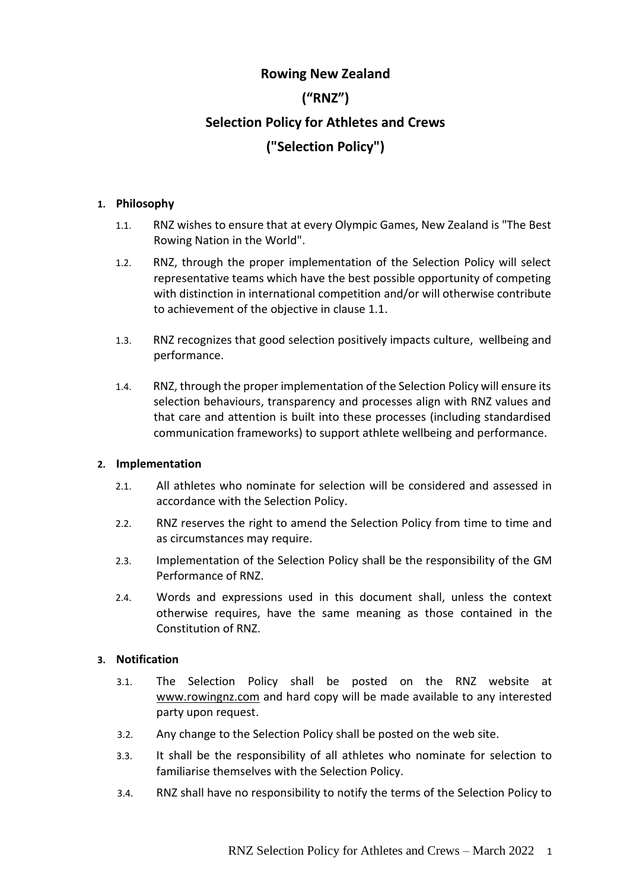# **Rowing New Zealand ("RNZ") Selection Policy for Athletes and Crews ("Selection Policy")**

#### **1. Philosophy**

- 1.1. RNZ wishes to ensure that at every Olympic Games, New Zealand is "The Best Rowing Nation in the World".
- 1.2. RNZ, through the proper implementation of the Selection Policy will select representative teams which have the best possible opportunity of competing with distinction in international competition and/or will otherwise contribute to achievement of the objective in clause 1.1.
- 1.3. RNZ recognizes that good selection positively impacts culture, wellbeing and performance.
- 1.4. RNZ, through the proper implementation of the Selection Policy will ensure its selection behaviours, transparency and processes align with RNZ values and that care and attention is built into these processes (including standardised communication frameworks) to support athlete wellbeing and performance.

#### **2. Implementation**

- 2.1. All athletes who nominate for selection will be considered and assessed in accordance with the Selection Policy.
- 2.2. RNZ reserves the right to amend the Selection Policy from time to time and as circumstances may require.
- 2.3. Implementation of the Selection Policy shall be the responsibility of the GM Performance of RNZ.
- 2.4. Words and expressions used in this document shall, unless the context otherwise requires, have the same meaning as those contained in the Constitution of RNZ.

## **3. Notification**

- 3.1. The Selection Policy shall be posted on the RNZ website at [www.rowingnz.com](http://www.rowingnz.com/) and hard copy will be made available to any interested party upon request.
- 3.2. Any change to the Selection Policy shall be posted on the web site.
- 3.3. It shall be the responsibility of all athletes who nominate for selection to familiarise themselves with the Selection Policy.
- 3.4. RNZ shall have no responsibility to notify the terms of the Selection Policy to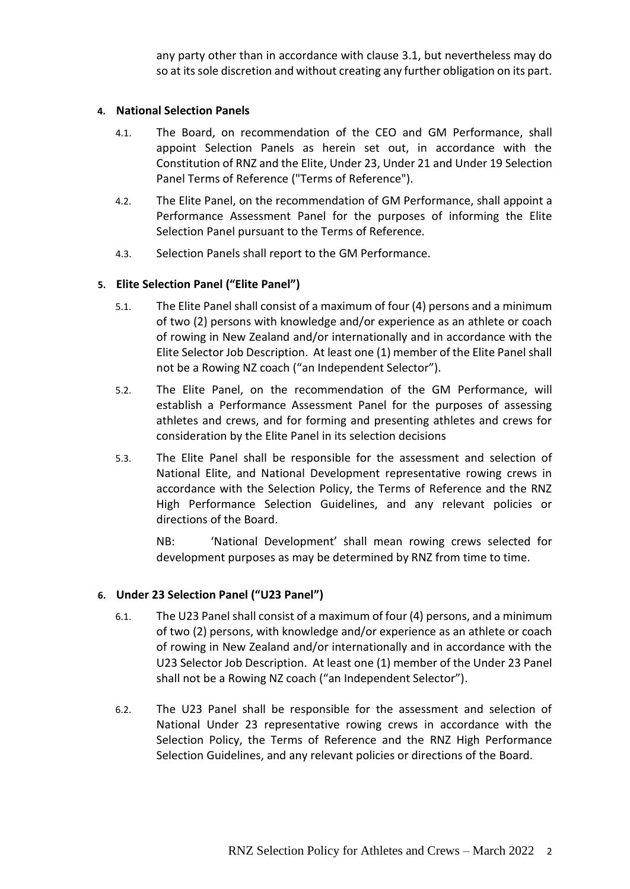any party other than in accordance with clause 3.1, but nevertheless may do so at its sole discretion and without creating any further obligation on its part.

#### **4. National Selection Panels**

- 4.1. The Board, on recommendation of the CEO and GM Performance, shall appoint Selection Panels as herein set out, in accordance with the Constitution of RNZ and the Elite, Under 23, Under 21 and Under 19 Selection Panel Terms of Reference ("Terms of Reference").
- 4.2. The Elite Panel, on the recommendation of GM Performance, shall appoint a Performance Assessment Panel for the purposes of informing the Elite Selection Panel pursuant to the Terms of Reference.
- 4.3. Selection Panels shall report to the GM Performance.

## **5. Elite Selection Panel ("Elite Panel")**

- 5.1. The Elite Panel shall consist of a maximum of four (4) persons and a minimum of two (2) persons with knowledge and/or experience as an athlete or coach of rowing in New Zealand and/or internationally and in accordance with the Elite Selector Job Description. At least one (1) member of the Elite Panel shall not be a Rowing NZ coach ("an Independent Selector").
- 5.2. The Elite Panel, on the recommendation of the GM Performance, will establish a Performance Assessment Panel for the purposes of assessing athletes and crews, and for forming and presenting athletes and crews for consideration by the Elite Panel in its selection decisions
- 5.3. The Elite Panel shall be responsible for the assessment and selection of National Elite, and National Development representative rowing crews in accordance with the Selection Policy, the Terms of Reference and the RNZ High Performance Selection Guidelines, and any relevant policies or directions of the Board.

NB: 'National Development' shall mean rowing crews selected for development purposes as may be determined by RNZ from time to time.

#### **6. Under 23 Selection Panel ("U23 Panel")**

- 6.1. The U23 Panel shall consist of a maximum of four (4) persons, and a minimum of two (2) persons, with knowledge and/or experience as an athlete or coach of rowing in New Zealand and/or internationally and in accordance with the U23 Selector Job Description. At least one (1) member of the Under 23 Panel shall not be a Rowing NZ coach ("an Independent Selector").
- 6.2. The U23 Panel shall be responsible for the assessment and selection of National Under 23 representative rowing crews in accordance with the Selection Policy, the Terms of Reference and the RNZ High Performance Selection Guidelines, and any relevant policies or directions of the Board.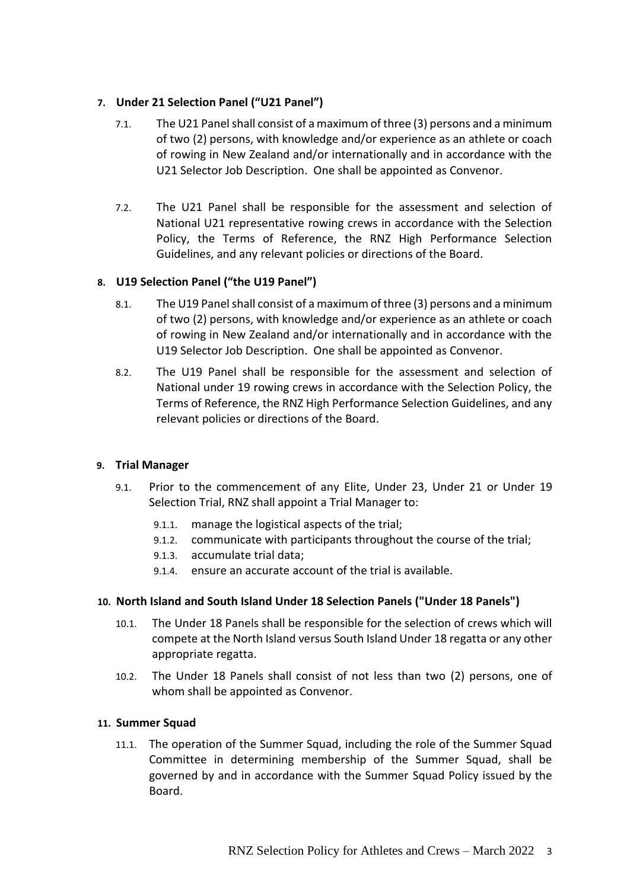## **7. Under 21 Selection Panel ("U21 Panel")**

- 7.1. The U21 Panel shall consist of a maximum of three (3) persons and a minimum of two (2) persons, with knowledge and/or experience as an athlete or coach of rowing in New Zealand and/or internationally and in accordance with the U21 Selector Job Description. One shall be appointed as Convenor.
- 7.2. The U21 Panel shall be responsible for the assessment and selection of National U21 representative rowing crews in accordance with the Selection Policy, the Terms of Reference, the RNZ High Performance Selection Guidelines, and any relevant policies or directions of the Board.

## **8. U19 Selection Panel ("the U19 Panel")**

- 8.1. The U19 Panel shall consist of a maximum of three (3) persons and a minimum of two (2) persons, with knowledge and/or experience as an athlete or coach of rowing in New Zealand and/or internationally and in accordance with the U19 Selector Job Description. One shall be appointed as Convenor.
- 8.2. The U19 Panel shall be responsible for the assessment and selection of National under 19 rowing crews in accordance with the Selection Policy, the Terms of Reference, the RNZ High Performance Selection Guidelines, and any relevant policies or directions of the Board.

#### **9. Trial Manager**

- 9.1. Prior to the commencement of any Elite, Under 23, Under 21 or Under 19 Selection Trial, RNZ shall appoint a Trial Manager to:
	- 9.1.1. manage the logistical aspects of the trial;
	- 9.1.2. communicate with participants throughout the course of the trial;
	- 9.1.3. accumulate trial data;
	- 9.1.4. ensure an accurate account of the trial is available.

## **10. North Island and South Island Under 18 Selection Panels ("Under 18 Panels")**

- 10.1. The Under 18 Panels shall be responsible for the selection of crews which will compete at the North Island versus South Island Under 18 regatta or any other appropriate regatta.
- 10.2. The Under 18 Panels shall consist of not less than two (2) persons, one of whom shall be appointed as Convenor.

#### **11. Summer Squad**

11.1. The operation of the Summer Squad, including the role of the Summer Squad Committee in determining membership of the Summer Squad, shall be governed by and in accordance with the Summer Squad Policy issued by the Board.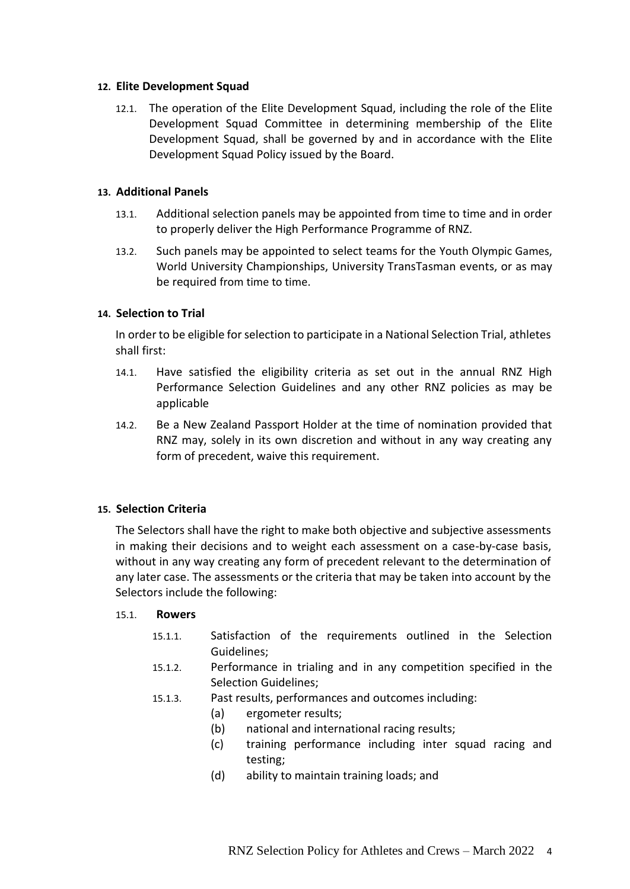#### **12. Elite Development Squad**

12.1. The operation of the Elite Development Squad, including the role of the Elite Development Squad Committee in determining membership of the Elite Development Squad, shall be governed by and in accordance with the Elite Development Squad Policy issued by the Board.

#### **13. Additional Panels**

- 13.1. Additional selection panels may be appointed from time to time and in order to properly deliver the High Performance Programme of RNZ.
- 13.2. Such panels may be appointed to select teams for the Youth Olympic Games, World University Championships, University TransTasman events, or as may be required from time to time.

#### **14. Selection to Trial**

In order to be eligible for selection to participate in a National Selection Trial, athletes shall first:

- 14.1. Have satisfied the eligibility criteria as set out in the annual RNZ High Performance Selection Guidelines and any other RNZ policies as may be applicable
- 14.2. Be a New Zealand Passport Holder at the time of nomination provided that RNZ may, solely in its own discretion and without in any way creating any form of precedent, waive this requirement.

#### **15. Selection Criteria**

The Selectors shall have the right to make both objective and subjective assessments in making their decisions and to weight each assessment on a case-by-case basis, without in any way creating any form of precedent relevant to the determination of any later case. The assessments or the criteria that may be taken into account by the Selectors include the following:

#### 15.1. **Rowers**

- 15.1.1. Satisfaction of the requirements outlined in the Selection Guidelines;
- 15.1.2. Performance in trialing and in any competition specified in the Selection Guidelines;
- 15.1.3. Past results, performances and outcomes including:
	- (a) ergometer results;
	- (b) national and international racing results;
	- (c) training performance including inter squad racing and testing;
	- (d) ability to maintain training loads; and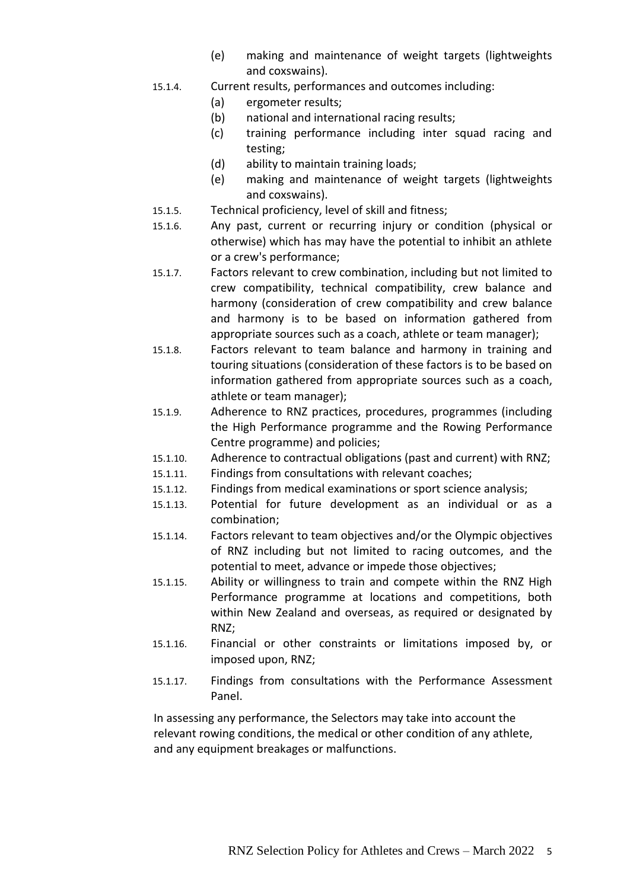- (e) making and maintenance of weight targets (lightweights and coxswains).
- 15.1.4. Current results, performances and outcomes including:
	- (a) ergometer results;
	- (b) national and international racing results;
	- (c) training performance including inter squad racing and testing;
	- (d) ability to maintain training loads;
	- (e) making and maintenance of weight targets (lightweights and coxswains).
- 15.1.5. Technical proficiency, level of skill and fitness;
- 15.1.6. Any past, current or recurring injury or condition (physical or otherwise) which has may have the potential to inhibit an athlete or a crew's performance;
- 15.1.7. Factors relevant to crew combination, including but not limited to crew compatibility, technical compatibility, crew balance and harmony (consideration of crew compatibility and crew balance and harmony is to be based on information gathered from appropriate sources such as a coach, athlete or team manager);
- 15.1.8. Factors relevant to team balance and harmony in training and touring situations (consideration of these factors is to be based on information gathered from appropriate sources such as a coach, athlete or team manager);
- 15.1.9. Adherence to RNZ practices, procedures, programmes (including the High Performance programme and the Rowing Performance Centre programme) and policies;
- 15.1.10. Adherence to contractual obligations (past and current) with RNZ;
- 15.1.11. Findings from consultations with relevant coaches;
- 15.1.12. Findings from medical examinations or sport science analysis;
- 15.1.13. Potential for future development as an individual or as a combination;
- 15.1.14. Factors relevant to team objectives and/or the Olympic objectives of RNZ including but not limited to racing outcomes, and the potential to meet, advance or impede those objectives;
- 15.1.15. Ability or willingness to train and compete within the RNZ High Performance programme at locations and competitions, both within New Zealand and overseas, as required or designated by RNZ;
- 15.1.16. Financial or other constraints or limitations imposed by, or imposed upon, RNZ;
- 15.1.17. Findings from consultations with the Performance Assessment Panel.

In assessing any performance, the Selectors may take into account the relevant rowing conditions, the medical or other condition of any athlete, and any equipment breakages or malfunctions.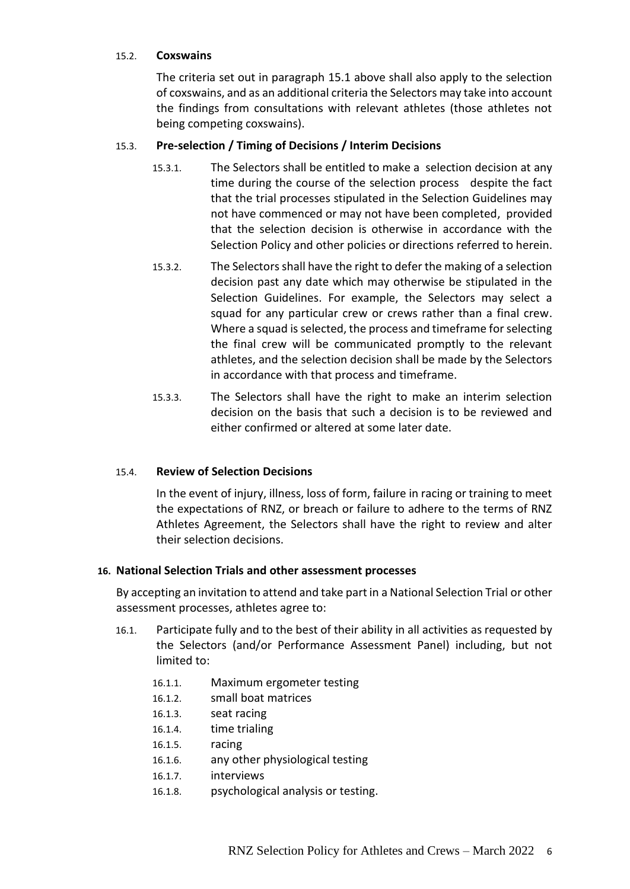#### 15.2. **Coxswains**

The criteria set out in paragraph 15.1 above shall also apply to the selection of coxswains, and as an additional criteria the Selectors may take into account the findings from consultations with relevant athletes (those athletes not being competing coxswains).

### 15.3. **Pre-selection / Timing of Decisions / Interim Decisions**

- 15.3.1. The Selectors shall be entitled to make a selection decision at any time during the course of the selection process despite the fact that the trial processes stipulated in the Selection Guidelines may not have commenced or may not have been completed, provided that the selection decision is otherwise in accordance with the Selection Policy and other policies or directions referred to herein.
- 15.3.2. The Selectors shall have the right to defer the making of a selection decision past any date which may otherwise be stipulated in the Selection Guidelines. For example, the Selectors may select a squad for any particular crew or crews rather than a final crew. Where a squad is selected, the process and timeframe for selecting the final crew will be communicated promptly to the relevant athletes, and the selection decision shall be made by the Selectors in accordance with that process and timeframe.
- 15.3.3. The Selectors shall have the right to make an interim selection decision on the basis that such a decision is to be reviewed and either confirmed or altered at some later date.

#### 15.4. **Review of Selection Decisions**

In the event of injury, illness, loss of form, failure in racing or training to meet the expectations of RNZ, or breach or failure to adhere to the terms of RNZ Athletes Agreement, the Selectors shall have the right to review and alter their selection decisions.

#### **16. National Selection Trials and other assessment processes**

By accepting an invitation to attend and take part in a National Selection Trial or other assessment processes, athletes agree to:

- 16.1. Participate fully and to the best of their ability in all activities as requested by the Selectors (and/or Performance Assessment Panel) including, but not limited to:
	- 16.1.1. Maximum ergometer testing
	- 16.1.2. small boat matrices
	- 16.1.3. seat racing
	- 16.1.4. time trialing
	- 16.1.5. racing
	- 16.1.6. any other physiological testing
	- 16.1.7. interviews
	- 16.1.8. psychological analysis or testing.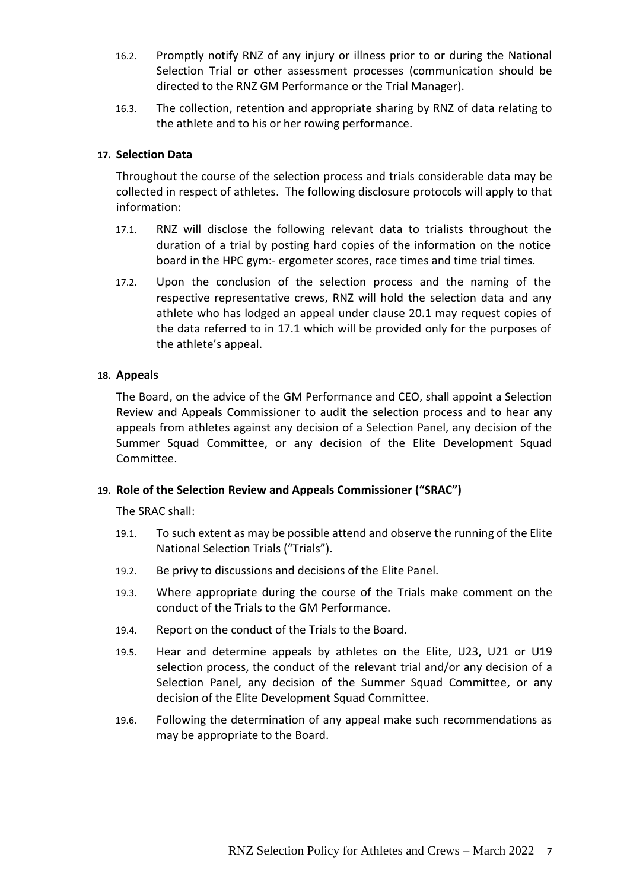- 16.2. Promptly notify RNZ of any injury or illness prior to or during the National Selection Trial or other assessment processes (communication should be directed to the RNZ GM Performance or the Trial Manager).
- 16.3. The collection, retention and appropriate sharing by RNZ of data relating to the athlete and to his or her rowing performance.

## **17. Selection Data**

Throughout the course of the selection process and trials considerable data may be collected in respect of athletes. The following disclosure protocols will apply to that information:

- 17.1. RNZ will disclose the following relevant data to trialists throughout the duration of a trial by posting hard copies of the information on the notice board in the HPC gym:- ergometer scores, race times and time trial times.
- 17.2. Upon the conclusion of the selection process and the naming of the respective representative crews, RNZ will hold the selection data and any athlete who has lodged an appeal under clause 20.1 may request copies of the data referred to in 17.1 which will be provided only for the purposes of the athlete's appeal.

## **18. Appeals**

The Board, on the advice of the GM Performance and CEO, shall appoint a Selection Review and Appeals Commissioner to audit the selection process and to hear any appeals from athletes against any decision of a Selection Panel, any decision of the Summer Squad Committee, or any decision of the Elite Development Squad Committee.

#### **19. Role of the Selection Review and Appeals Commissioner ("SRAC")**

The SRAC shall:

- 19.1. To such extent as may be possible attend and observe the running of the Elite National Selection Trials ("Trials").
- 19.2. Be privy to discussions and decisions of the Elite Panel.
- 19.3. Where appropriate during the course of the Trials make comment on the conduct of the Trials to the GM Performance.
- 19.4. Report on the conduct of the Trials to the Board.
- 19.5. Hear and determine appeals by athletes on the Elite, U23, U21 or U19 selection process, the conduct of the relevant trial and/or any decision of a Selection Panel, any decision of the Summer Squad Committee, or any decision of the Elite Development Squad Committee.
- 19.6. Following the determination of any appeal make such recommendations as may be appropriate to the Board.